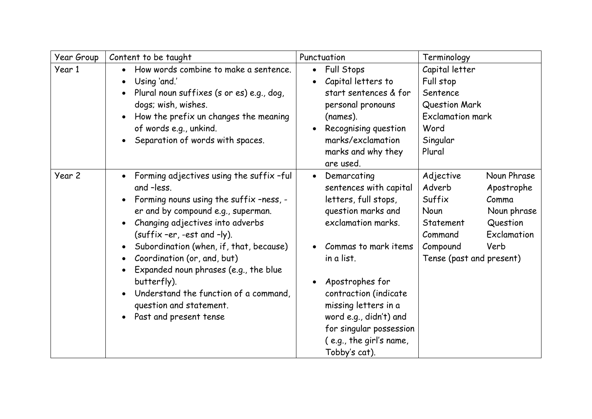| Year Group | Content to be taught                                                                                                                                                                                                                                                                                                                                                                                                                                                 | Punctuation                                                                                                                                                                                                                                                                                                                       | Terminology                                                                                                                                                                                   |
|------------|----------------------------------------------------------------------------------------------------------------------------------------------------------------------------------------------------------------------------------------------------------------------------------------------------------------------------------------------------------------------------------------------------------------------------------------------------------------------|-----------------------------------------------------------------------------------------------------------------------------------------------------------------------------------------------------------------------------------------------------------------------------------------------------------------------------------|-----------------------------------------------------------------------------------------------------------------------------------------------------------------------------------------------|
| Year 1     | How words combine to make a sentence.<br>Using 'and.'<br>$\bullet$<br>Plural noun suffixes (s or es) e.g., dog,<br>$\bullet$<br>dogs; wish, wishes.<br>How the prefix un changes the meaning<br>of words e.g., unkind.<br>Separation of words with spaces.                                                                                                                                                                                                           | <b>Full Stops</b><br>٠<br>Capital letters to<br>start sentences & for<br>personal pronouns<br>(names).<br>Recognising question<br>marks/exclamation<br>marks and why they<br>are used.                                                                                                                                            | Capital letter<br>Full stop<br>Sentence<br>Question Mark<br><b>Exclamation mark</b><br>Word<br>Singular<br>Plural                                                                             |
| Year 2     | Forming adjectives using the suffix -ful<br>$\bullet$<br>and -less.<br>Forming nouns using the suffix -ness, -<br>er and by compound e.g., superman.<br>Changing adjectives into adverbs<br>(suffix -er, -est and -ly).<br>Subordination (when, if, that, because)<br>Coordination (or, and, but)<br>$\bullet$<br>Expanded noun phrases (e.g., the blue<br>butterfly).<br>Understand the function of a command,<br>question and statement.<br>Past and present tense | Demarcating<br>$\bullet$<br>sentences with capital<br>letters, full stops,<br>question marks and<br>exclamation marks.<br>Commas to mark items<br>in a list.<br>Apostrophes for<br>contraction (indicate<br>missing letters in a<br>word e.g., didn't) and<br>for singular possession<br>(e.g., the girl's name,<br>Tobby's cat). | Noun Phrase<br>Adjective<br>Adverb<br>Apostrophe<br>Suffix<br>Comma<br>Noun phrase<br>Noun<br>Question<br>Statement<br>Exclamation<br>Command<br>Compound<br>Verb<br>Tense (past and present) |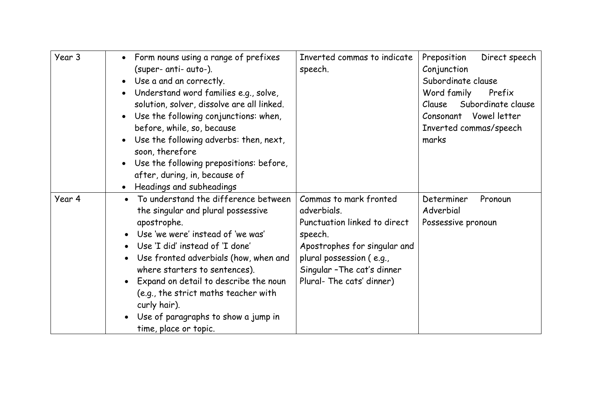| Year 3 | Form nouns using a range of prefixes<br>(super- anti- auto-).<br>Use a and an correctly.<br>Understand word families e.g., solve,<br>solution, solver, dissolve are all linked.<br>Use the following conjunctions: when,<br>before, while, so, because<br>Use the following adverbs: then, next,                                                                                                                                      | Inverted commas to indicate<br>speech.                                                                                                                                         | Direct speech<br>Preposition<br>Conjunction<br>Subordinate clause<br>Word family<br>Prefix<br>Subordinate clause<br>Clause<br>Consonant Vowel letter<br>Inverted commas/speech<br>marks |
|--------|---------------------------------------------------------------------------------------------------------------------------------------------------------------------------------------------------------------------------------------------------------------------------------------------------------------------------------------------------------------------------------------------------------------------------------------|--------------------------------------------------------------------------------------------------------------------------------------------------------------------------------|-----------------------------------------------------------------------------------------------------------------------------------------------------------------------------------------|
| Year 4 | soon, therefore<br>Use the following prepositions: before,<br>after, during, in, because of<br>Headings and subheadings<br>To understand the difference between                                                                                                                                                                                                                                                                       | Commas to mark fronted                                                                                                                                                         |                                                                                                                                                                                         |
|        | $\bullet$<br>the singular and plural possessive<br>apostrophe.<br>Use 'we were' instead of 'we was'<br>$\bullet$<br>Use 'I did' instead of 'I done'<br>$\bullet$<br>Use fronted adverbials (how, when and<br>$\bullet$<br>where starters to sentences).<br>Expand on detail to describe the noun<br>(e.g., the strict maths teacher with<br>curly hair).<br>Use of paragraphs to show a jump in<br>$\bullet$<br>time, place or topic. | adverbials.<br>Punctuation linked to direct<br>speech.<br>Apostrophes for singular and<br>plural possession (e.g.,<br>Singular - The cat's dinner<br>Plural- The cats' dinner) | Determiner<br>Pronoun<br>Adverbial<br>Possessive pronoun                                                                                                                                |